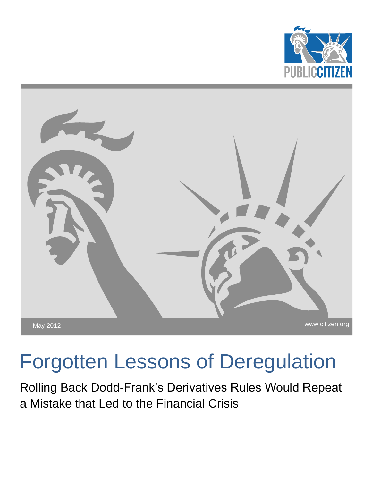



# Forgotten Lessons of Deregulation

Rolling Back Dodd-Frank's Derivatives Rules Would Repeat a Mistake that Led to the Financial Crisis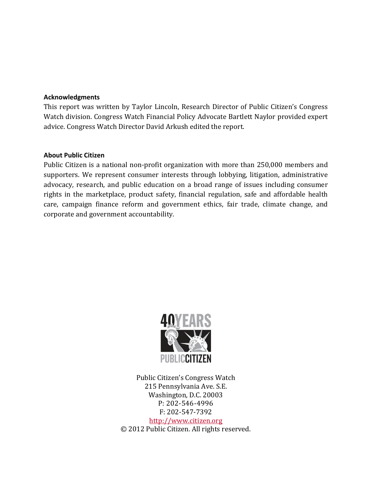#### **Acknowledgments**

This report was written by Taylor Lincoln, Research Director of Public Citizen's Congress Watch division. Congress Watch Financial Policy Advocate Bartlett Naylor provided expert advice. Congress Watch Director David Arkush edited the report.

#### **About Public Citizen**

Public Citizen is a national non-profit organization with more than 250,000 members and supporters. We represent consumer interests through lobbying, litigation, administrative advocacy, research, and public education on a broad range of issues including consumer rights in the marketplace, product safety, financial regulation, safe and affordable health care, campaign finance reform and government ethics, fair trade, climate change, and corporate and government accountability.



Public Citizen's Congress Watch 215 Pennsylvania Ave. S.E. Washington, D.C. 20003 P: 202-546-4996 F: 202-547-7392 [http://www.citizen.org](http://www.citizen.org/) © 2012 Public Citizen. All rights reserved.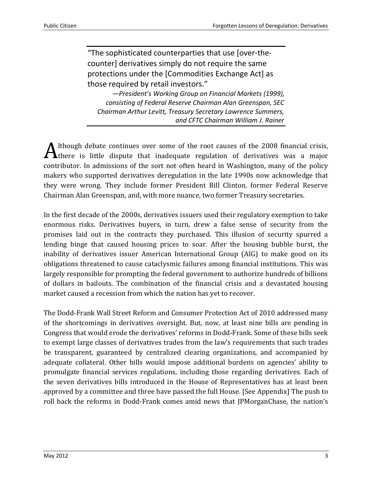"The sophisticated counterparties that use [over-thecounter] derivatives simply do not require the same protections under the [Commodities Exchange Act] as those required by retail investors."

*—President's Working Group on Financial Markets (1999), consisting of Federal Reserve Chairman Alan Greenspan, SEC Chairman Arthur Levitt, Treasury Secretary Lawrence Summers, and CFTC Chairman William J. Rainer*

lthough debate continues over some of the root causes of the 2008 financial crisis,  $\mathbf A$  lthough debate continues over some of the root causes of the 2008 financial crisis, there is little dispute that inadequate regulation of derivatives was a major contributor. In admissions of the sort not often heard in Washington, many of the policy makers who supported derivatives deregulation in the late 1990s now acknowledge that they were wrong. They include former President Bill Clinton, former Federal Reserve Chairman Alan Greenspan, and, with more nuance, two former Treasury secretaries.

In the first decade of the 2000s, derivatives issuers used their regulatory exemption to take enormous risks. Derivatives buyers, in turn, drew a false sense of security from the promises laid out in the contracts they purchased. This illusion of security spurred a lending binge that caused housing prices to soar. After the housing bubble burst, the inability of derivatives issuer American International Group (AIG) to make good on its obligations threatened to cause cataclysmic failures among financial institutions. This was largely responsible for prompting the federal government to authorize hundreds of billions of dollars in bailouts. The combination of the financial crisis and a devastated housing market caused a recession from which the nation has yet to recover.

The Dodd-Frank Wall Street Reform and Consumer Protection Act of 2010 addressed many of the shortcomings in derivatives oversight. But, now, at least nine bills are pending in Congress that would erode the derivatives' reforms in Dodd-Frank. Some of these bills seek to exempt large classes of derivatives trades from the law's requirements that such trades be transparent, guaranteed by centralized clearing organizations, and accompanied by adequate collateral. Other bills would impose additional burdens on agencies' ability to promulgate financial services regulations, including those regarding derivatives. Each of the seven derivatives bills introduced in the House of Representatives has at least been approved by a committee and three have passed the full House. [See Appendix] The push to roll back the reforms in Dodd-Frank comes amid news that JPMorganChase, the nation's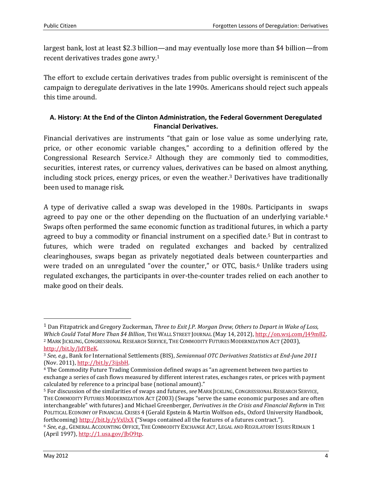largest bank, lost at least \$2.3 billion—and may eventually lose more than \$4 billion—from recent derivatives trades gone awry. 1

The effort to exclude certain derivatives trades from public oversight is reminiscent of the campaign to deregulate derivatives in the late 1990s. Americans should reject such appeals this time around.

#### **A. History: At the End of the Clinton Administration, the Federal Government Deregulated Financial Derivatives.**

Financial derivatives are instruments "that gain or lose value as some underlying rate, price, or other economic variable changes," according to a definition offered by the Congressional Research Service.<sup>2</sup> Although they are commonly tied to commodities, securities, interest rates, or currency values, derivatives can be based on almost anything, including stock prices, energy prices, or even the weather.<sup>3</sup> Derivatives have traditionally been used to manage risk.

A type of derivative called a swap was developed in the 1980s. Participants in swaps agreed to pay one or the other depending on the fluctuation of an underlying variable.<sup>4</sup> Swaps often performed the same economic function as traditional futures, in which a party agreed to buy a commodity or financial instrument on a specified date. <sup>5</sup> But in contrast to futures, which were traded on regulated exchanges and backed by centralized clearinghouses, swaps began as privately negotiated deals between counterparties and were traded on an unregulated "over the counter," or OTC, basis.<sup>6</sup> Unlike traders using regulated exchanges, the participants in over-the-counter trades relied on each another to make good on their deals.

<sup>1</sup> Dan Fitzpatrick and Gregory Zuckerman, *Three to Exit J.P. Morgan Drew, Others to Depart in Wake of Loss, Which Could Total More Than \$4 Billion*, THE WALL STREET JOURNAL (May 14, 2012)[, http://on.wsj.com/J49m82.](http://on.wsj.com/J49m82) <sup>2</sup> MARK JICKLING, CONGRESSIONAL RESEARCH SERVICE, THE COMMODITY FUTURES MODERNIZATION ACT (2003), [http://bit.ly/JdYBeK.](http://bit.ly/JdYBeK)

<sup>3</sup> *See, e.g.*, Bank for International Settlements (BIS), *Semiannual OTC Derivatives Statistics at End-June 2011* (Nov. 2011)[, http://bit.ly/3ijsbH.](http://bit.ly/3ijsbH)

<sup>4</sup> The Commodity Future Trading Commission defined swaps as "an agreement between two parties to exchange a series of cash flows measured by different interest rates, exchanges rates, or prices with payment calculated by reference to a principal base (notional amount)."

<sup>5</sup> For discussion of the similarities of swaps and futures, *see* MARK JICKLING, CONGRESSIONAL RESEARCH SERVICE, THE COMMODITY FUTURES MODERNIZATION ACT (2003) (Swaps "serve the same economic purposes and are often interchangeable" with futures) and Michael Greenberger, *Derivatives in the Crisis and Financial Reform* in THE POLITICAL ECONOMY OF FINANCIAL CRISES 4 (Gerald Epstein & Martin Wolfson eds., Oxford University Handbook, forthcoming[\) http://bit.ly/yVxUxX](http://bit.ly/yVxUxX) ("Swaps contained all the features of a futures contract.").

<sup>6</sup> *See*, *e.g.*, GENERAL ACCOUNTING OFFICE, THE COMMODITY EXCHANGE ACT, LEGAL AND REGULATORY ISSUES REMAIN 1 (April 1997)[, http://1.usa.gov/JbO9tp.](http://1.usa.gov/JbO9tp)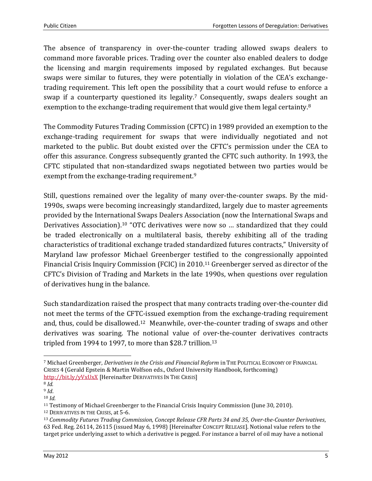The absence of transparency in over-the-counter trading allowed swaps dealers to command more favorable prices. Trading over the counter also enabled dealers to dodge the licensing and margin requirements imposed by regulated exchanges. But because swaps were similar to futures, they were potentially in violation of the CEA's exchangetrading requirement. This left open the possibility that a court would refuse to enforce a swap if a counterparty questioned its legality.<sup>7</sup> Consequently, swaps dealers sought an exemption to the exchange-trading requirement that would give them legal certainty.<sup>8</sup>

The Commodity Futures Trading Commission (CFTC) in 1989 provided an exemption to the exchange-trading requirement for swaps that were individually negotiated and not marketed to the public. But doubt existed over the CFTC's permission under the CEA to offer this assurance. Congress subsequently granted the CFTC such authority. In 1993, the CFTC stipulated that non-standardized swaps negotiated between two parties would be exempt from the exchange-trading requirement.<sup>9</sup>

Still, questions remained over the legality of many over-the-counter swaps. By the mid-1990s, swaps were becoming increasingly standardized, largely due to master agreements provided by the International Swaps Dealers Association (now the International Swaps and Derivatives Association). <sup>10</sup> "OTC derivatives were now so … standardized that they could be traded electronically on a multilateral basis, thereby exhibiting all of the trading characteristics of traditional exchange traded standardized futures contracts," University of Maryland law professor Michael Greenberger testified to the congressionally appointed Financial Crisis Inquiry Commission (FCIC) in 2010. <sup>11</sup> Greenberger served as director of the CFTC's Division of Trading and Markets in the late 1990s, when questions over regulation of derivatives hung in the balance.

Such standardization raised the prospect that many contracts trading over-the-counter did not meet the terms of the CFTC-issued exemption from the exchange-trading requirement and, thus, could be disallowed.<sup>12</sup> Meanwhile, over-the-counter trading of swaps and other derivatives was soaring. The notional value of over-the-counter derivatives contracts tripled from 1994 to 1997, to more than \$28.7 trillion. 13

<sup>7</sup> Michael Greenberger, *Derivatives in the Crisis and Financial Reform* in THE POLITICAL ECONOMY OF FINANCIAL CRISES 4 (Gerald Epstein & Martin Wolfson eds., Oxford University Handbook, forthcoming) <http://bit.ly/yVxUxX> [Hereinafter DERIVATIVES IN THE CRISIS]

<sup>8</sup> *Id.*

<sup>9</sup> *Id*.

<sup>10</sup> *Id.*

<sup>11</sup> Testimony of Michael Greenberger to the Financial Crisis Inquiry Commission (June 30, 2010).

<sup>12</sup> DERIVATIVES IN THE CRISIS, at 5-6.

<sup>13</sup> *Commodity Futures Trading Commission, Concept Release CFR Parts 34 and 35, Over-the-Counter Derivatives*, 63 Fed. Reg. 26114, 26115 (issued May 6, 1998) [Hereinafter CONCEPT RELEASE]. Notional value refers to the target price underlying asset to which a derivative is pegged. For instance a barrel of oil may have a notional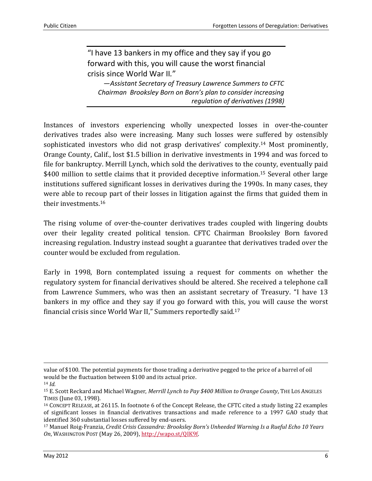"I have 13 bankers in my office and they say if you go forward with this, you will cause the worst financial crisis since World War II*.*"

—*Assistant Secretary of Treasury Lawrence Summers to CFTC Chairman Brooksley Born on Born's plan to consider increasing regulation of derivatives (1998)*

Instances of investors experiencing wholly unexpected losses in over-the-counter derivatives trades also were increasing. Many such losses were suffered by ostensibly sophisticated investors who did not grasp derivatives' complexity.<sup>14</sup> Most prominently, Orange County, Calif., lost \$1.5 billion in derivative investments in 1994 and was forced to file for bankruptcy. Merrill Lynch, which sold the derivatives to the county, eventually paid \$400 million to settle claims that it provided deceptive information.<sup>15</sup> Several other large institutions suffered significant losses in derivatives during the 1990s. In many cases, they were able to recoup part of their losses in litigation against the firms that guided them in their investments.<sup>16</sup>

The rising volume of over-the-counter derivatives trades coupled with lingering doubts over their legality created political tension. CFTC Chairman Brooksley Born favored increasing regulation. Industry instead sought a guarantee that derivatives traded over the counter would be excluded from regulation.

Early in 1998, Born contemplated issuing a request for comments on whether the regulatory system for financial derivatives should be altered. She received a telephone call from Lawrence Summers, who was then an assistant secretary of Treasury. "I have 13 bankers in my office and they say if you go forward with this, you will cause the worst financial crisis since World War II," Summers reportedly said. 17

value of \$100. The potential payments for those trading a derivative pegged to the price of a barrel of oil would be the fluctuation between \$100 and its actual price.

<sup>14</sup> *Id.*

<sup>15</sup> E. Scott Reckard and Michael Wagner, *Merrill Lynch to Pay \$400 Million to Orange County*, THE LOS ANGELES TIMES (June 03, 1998).

<sup>16</sup> CONCEPT RELEASE, at 26115. In footnote 6 of the Concept Release, the CFTC cited a study listing 22 examples of significant losses in financial derivatives transactions and made reference to a 1997 GAO study that identified 360 substantial losses suffered by end-users.

<sup>17</sup> Manuel Roig-Franzia, *Credit Crisis Cassandra: Brooksley Born's Unheeded Warning Is a Rueful Echo 10 Years On*, WASHINGTON POST (May 26, 2009), [http://wapo.st/QIK9f.](http://wapo.st/QIK9f)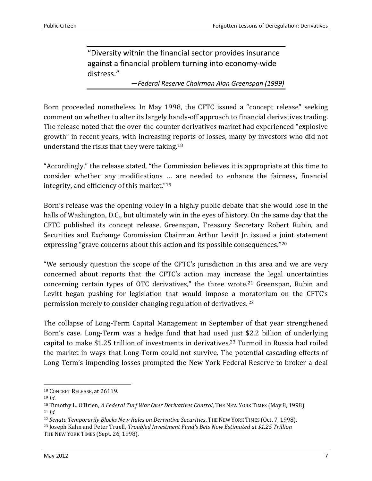"Diversity within the financial sector provides insurance against a financial problem turning into economy-wide distress."

—*Federal Reserve Chairman Alan Greenspan (1999)*

Born proceeded nonetheless. In May 1998, the CFTC issued a "concept release" seeking comment on whether to alter its largely hands-off approach to financial derivatives trading. The release noted that the over-the-counter derivatives market had experienced "explosive growth" in recent years, with increasing reports of losses, many by investors who did not understand the risks that they were taking. 18

"Accordingly," the release stated, "the Commission believes it is appropriate at this time to consider whether any modifications … are needed to enhance the fairness, financial integrity, and efficiency of this market."<sup>19</sup>

Born's release was the opening volley in a highly public debate that she would lose in the halls of Washington, D.C., but ultimately win in the eyes of history. On the same day that the CFTC published its concept release, Greenspan, Treasury Secretary Robert Rubin, and Securities and Exchange Commission Chairman Arthur Levitt Jr. issued a joint statement expressing "grave concerns about this action and its possible consequences."<sup>20</sup>

"We seriously question the scope of the CFTC's jurisdiction in this area and we are very concerned about reports that the CFTC's action may increase the legal uncertainties concerning certain types of OTC derivatives," the three wrote. <sup>21</sup> Greenspan, Rubin and Levitt began pushing for legislation that would impose a moratorium on the CFTC's permission merely to consider changing regulation of derivatives. <sup>22</sup>

The collapse of Long-Term Capital Management in September of that year strengthened Born's case. Long-Term was a hedge fund that had used just \$2.2 billion of underlying capital to make \$1.25 trillion of investments in derivatives. <sup>23</sup> Turmoil in Russia had roiled the market in ways that Long-Term could not survive. The potential cascading effects of Long-Term's impending losses prompted the New York Federal Reserve to broker a deal

<sup>18</sup> CONCEPT RELEASE, at 26119.

<sup>19</sup> *Id*.

<sup>20</sup> Timothy L. O'Brien, *A Federal Turf War Over Derivatives Control*, THE NEW YORK TIMES (May 8, 1998). <sup>21</sup> *Id*.

<sup>22</sup> *Senate Temporarily Blocks New Rules on Derivative Securities*, THE NEW YORK TIMES (Oct. 7, 1998).

<sup>23</sup> Joseph Kahn and Peter Truell, *Troubled Investment Fund's Bets Now Estimated at \$1.25 Trillion*

THE NEW YORK TIMES (Sept. 26, 1998).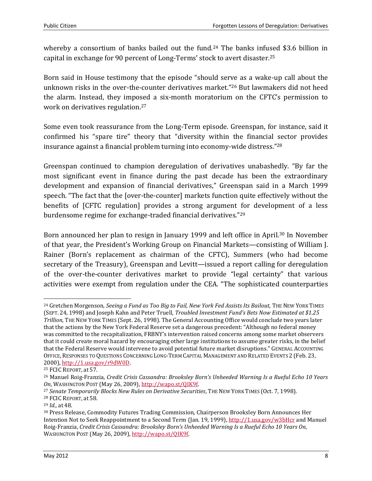whereby a consortium of banks bailed out the fund.<sup>24</sup> The banks infused \$3.6 billion in capital in exchange for 90 percent of Long-Terms' stock to avert disaster. 25

Born said in House testimony that the episode "should serve as a wake-up call about the unknown risks in the over-the-counter derivatives market."<sup>26</sup> But lawmakers did not heed the alarm. Instead, they imposed a six-month moratorium on the CFTC's permission to work on derivatives regulation. 27

Some even took reassurance from the Long-Term episode. Greenspan, for instance, said it confirmed his "spare tire" theory that "diversity within the financial sector provides insurance against a financial problem turning into economy-wide distress." $^{28}$ 

Greenspan continued to champion deregulation of derivatives unabashedly. "By far the most significant event in finance during the past decade has been the extraordinary development and expansion of financial derivatives," Greenspan said in a March 1999 speech. "The fact that the [over-the-counter] markets function quite effectively without the benefits of [CFTC regulation] provides a strong argument for development of a less burdensome regime for exchange-traded financial derivatives."<sup>29</sup>

Born announced her plan to resign in January 1999 and left office in April.<sup>30</sup> In November of that year, the President's Working Group on Financial Markets—consisting of William J. Rainer (Born's replacement as chairman of the CFTC), Summers (who had become secretary of the Treasury), Greenspan and Levitt—issued a report calling for deregulation of the over-the-counter derivatives market to provide "legal certainty" that various activities were exempt from regulation under the CEA. "The sophisticated counterparties

<sup>&</sup>lt;sup>24</sup> Gretchen Morgenson, *Seeing a Fund as Too Big to Fail, New York Fed Assists Its Bailout, THE NEW YORK TIMES* (SEPT. 24, 1998) and Joseph Kahn and Peter Truell, *Troubled Investment Fund's Bets Now Estimated at \$1.25 Trillion*, THE NEW YORK TIMES (Sept. 26, 1998). The General Accounting Office would conclude two years later that the actions by the New York Federal Reserve set a dangerous precedent: "Although no federal money was committed to the recapitalization, FRBNY's intervention raised concerns among some market observers that it could create moral hazard by encouraging other large institutions to assume greater risks, in the belief that the Federal Reserve would intervene to avoid potential future market disruptions." GENERAL ACCOUNTING OFFICE, RESPONSES TO QUESTIONS CONCERNING LONG-TERM CAPITAL MANAGEMENT AND RELATED EVENTS 2 (Feb. 23, 2000), [http://1.usa.gov/r9dW0D.](http://1.usa.gov/r9dW0D)

<sup>25</sup> FCIC REPORT, at 57.

<sup>26</sup> Manuel Roig-Franzia, *Credit Crisis Cassandra: Brooksley Born's Unheeded Warning Is a Rueful Echo 10 Years On*, WASHINGTON POST (May 26, 2009), [http://wapo.st/QIK9f.](http://wapo.st/QIK9f)

<sup>27</sup> *Senate Temporarily Blocks New Rules on Derivative Securities*, THE NEW YORK TIMES (Oct. 7, 1998). <sup>28</sup> FCIC REPORT, at 58.

<sup>29</sup> *Id.*, at 48.

<sup>30</sup> Press Release, Commodity Futures Trading Commission, Chairperson Brooksley Born Announces Her Intention Not to Seek Reappointment to a Second Term (Jan. 19, 1999)[, http://1.usa.gov/w3bHcr](http://1.usa.gov/w3bHcr) and Manuel Roig-Franzia, *Credit Crisis Cassandra: Brooksley Born's Unheeded Warning Is a Rueful Echo 10 Years On*, WASHINGTON POST (May 26, 2009)[, http://wapo.st/QIK9f.](http://wapo.st/QIK9f)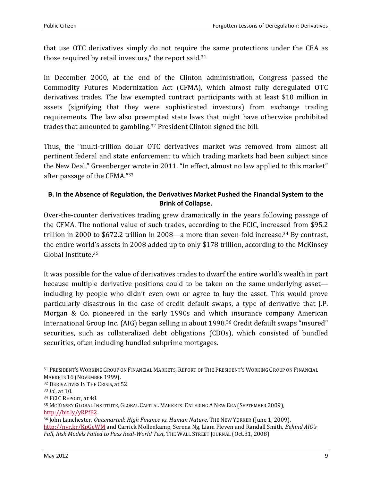that use OTC derivatives simply do not require the same protections under the CEA as those required by retail investors," the report said.<sup>31</sup>

In December 2000, at the end of the Clinton administration, Congress passed the Commodity Futures Modernization Act (CFMA), which almost fully deregulated OTC derivatives trades. The law exempted contract participants with at least \$10 million in assets (signifying that they were sophisticated investors) from exchange trading requirements. The law also preempted state laws that might have otherwise prohibited trades that amounted to gambling.<sup>32</sup> President Clinton signed the bill.

Thus, the "multi-trillion dollar OTC derivatives market was removed from almost all pertinent federal and state enforcement to which trading markets had been subject since the New Deal," Greenberger wrote in 2011. "In effect, almost no law applied to this market" after passage of the CFMA." 33

#### **B. In the Absence of Regulation, the Derivatives Market Pushed the Financial System to the Brink of Collapse.**

Over-the-counter derivatives trading grew dramatically in the years following passage of the CFMA. The notional value of such trades, according to the FCIC, increased from \$95.2 trillion in 2000 to \$672.2 trillion in 2008—a more than seven-fold increase.<sup>34</sup> By contrast, the entire world's assets in 2008 added up to only \$178 trillion, according to the McKinsey Global Institute.<sup>35</sup>

It was possible for the value of derivatives trades to dwarf the entire world's wealth in part because multiple derivative positions could to be taken on the same underlying asset including by people who didn't even own or agree to buy the asset. This would prove particularly disastrous in the case of credit default swaps, a type of derivative that J.P. Morgan & Co. pioneered in the early 1990s and which insurance company American International Group Inc. (AIG) began selling in about 1998. <sup>36</sup> Credit default swaps "insured" securities, such as collateralized debt obligations (CDOs), which consisted of bundled securities, often including bundled subprime mortgages.

<sup>31</sup> PRESIDENT'S WORKING GROUP ON FINANCIAL MARKETS, REPORT OF THE PRESIDENT'S WORKING GROUP ON FINANCIAL MARKETS 16 (NOVEMBER 1999).

<sup>32</sup> DERIVATIVES IN THE CRISIS, at 52.

<sup>33</sup> *Id.*, at 10.

<sup>34</sup> FCIC REPORT, at 48.

<sup>35</sup> MCKINSEY GLOBAL INSTITUTE, GLOBAL CAPITAL MARKETS: ENTERING A NEW ERA (SEPTEMBER 2009), [http://bit.ly/yRPfB2.](http://bit.ly/yRPfB2)

<sup>36</sup> John Lanchester, *Outsmarted: High Finance vs. Human Nature*, THE NEW YORKER (June 1, 2009), <http://nyr.kr/KpGeWM> and Carrick Mollenkamp, Serena Ng, Liam Pleven and Randall Smith, *Behind AIG's Fall, Risk Models Failed to Pass Real-World Test,* THE WALL STREET JOURNAL (Oct.31, 2008).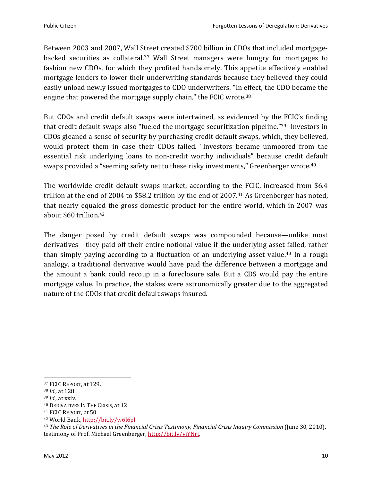Between 2003 and 2007, Wall Street created \$700 billion in CDOs that included mortgagebacked securities as collateral. <sup>37</sup> Wall Street managers were hungry for mortgages to fashion new CDOs, for which they profited handsomely. This appetite effectively enabled mortgage lenders to lower their underwriting standards because they believed they could easily unload newly issued mortgages to CDO underwriters. "In effect, the CDO became the engine that powered the mortgage supply chain," the FCIC wrote.<sup>38</sup>

But CDOs and credit default swaps were intertwined, as evidenced by the FCIC's finding that credit default swaps also "fueled the mortgage securitization pipeline."<sup>39</sup> Investors in CDOs gleaned a sense of security by purchasing credit default swaps, which, they believed, would protect them in case their CDOs failed. "Investors became unmoored from the essential risk underlying loans to non-credit worthy individuals" because credit default swaps provided a "seeming safety net to these risky investments," Greenberger wrote.<sup>40</sup>

The worldwide credit default swaps market, according to the FCIC, increased from \$6.4 trillion at the end of 2004 to \$58.2 trillion by the end of 2007.<sup>41</sup> As Greenberger has noted, that nearly equaled the gross domestic product for the entire world, which in 2007 was about \$60 trillion.<sup>42</sup>

The danger posed by credit default swaps was compounded because—unlike most derivatives—they paid off their entire notional value if the underlying asset failed, rather than simply paying according to a fluctuation of an underlying asset value.<sup>43</sup> In a rough analogy, a traditional derivative would have paid the difference between a mortgage and the amount a bank could recoup in a foreclosure sale. But a CDS would pay the entire mortgage value. In practice, the stakes were astronomically greater due to the aggregated nature of the CDOs that credit default swaps insured.

<sup>37</sup> FCIC REPORT, at 129.

<sup>38</sup> *Id.,* at 128.

<sup>39</sup> *Id.,* at xxiv.

<sup>40</sup> DERIVATIVES IN THE CRISIS, at 12.

<sup>41</sup> FCIC REPORT*,* at 50.

<sup>42</sup> World Bank[, http://bit.ly/w6l6pl.](http://bit.ly/w6l6pl)

<sup>43</sup> *The Role of Derivatives in the Financial Crisis Testimony, Financial Crisis Inquiry Commission* (June 30, 2010), testimony of Prof. Michael Greenberger, [http://bit.ly/yiYNrt.](http://bit.ly/yiYNrt)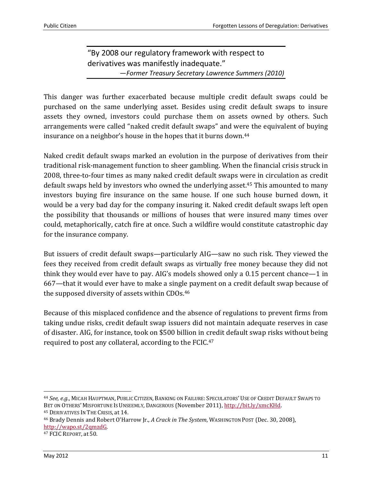### "By 2008 our regulatory framework with respect to derivatives was manifestly inadequate." —*Former Treasury Secretary Lawrence Summers (2010)*

This danger was further exacerbated because multiple credit default swaps could be purchased on the same underlying asset. Besides using credit default swaps to insure assets they owned, investors could purchase them on assets owned by others. Such arrangements were called "naked credit default swaps" and were the equivalent of buying insurance on a neighbor's house in the hopes that it burns down.<sup>44</sup>

Naked credit default swaps marked an evolution in the purpose of derivatives from their traditional risk-management function to sheer gambling. When the financial crisis struck in 2008, three-to-four times as many naked credit default swaps were in circulation as credit default swaps held by investors who owned the underlying asset. <sup>45</sup> This amounted to many investors buying fire insurance on the same house. If one such house burned down, it would be a very bad day for the company insuring it. Naked credit default swaps left open the possibility that thousands or millions of houses that were insured many times over could, metaphorically, catch fire at once. Such a wildfire would constitute catastrophic day for the insurance company.

But issuers of credit default swaps—particularly AIG—saw no such risk. They viewed the fees they received from credit default swaps as virtually free money because they did not think they would ever have to pay. AIG's models showed only a 0.15 percent chance—1 in 667—that it would ever have to make a single payment on a credit default swap because of the supposed diversity of assets within CDOs.<sup>46</sup>

Because of this misplaced confidence and the absence of regulations to prevent firms from taking undue risks, credit default swap issuers did not maintain adequate reserves in case of disaster. AIG, for instance, took on \$500 billion in credit default swap risks without being required to post any collateral, according to the FCIC.<sup>47</sup>

l

<sup>44</sup> *See, e.g.*, MICAH HAUPTMAN, PUBLIC CITIZEN, BANKING ON FAILURE: SPECULATORS' USE OF CREDIT DEFAULT SWAPS TO BET ON OTHERS' MISFORTUNE IS UNSEEMLY, DANGEROUS (November 2011)[, http://bit.ly/xmcKHd.](http://bit.ly/xmcKHd) <sup>45</sup> DERIVATIVES IN THE CRISIS, at 14.

<sup>46</sup> Brady Dennis and Robert O'Harrow Jr., *A Crack in The System*, WASHINGTON POST (Dec. 30, 2008), [http://wapo.st/2qmzdG.](http://wapo.st/2qmzdG)

<sup>47</sup> FCIC REPORT, at 50.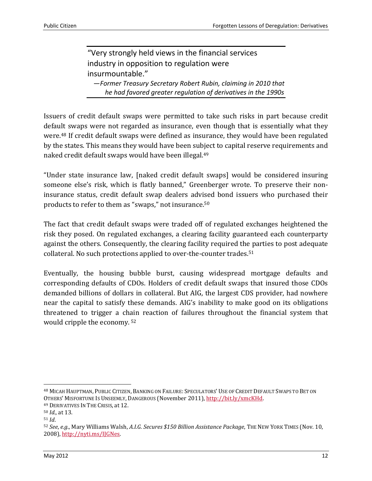"Very strongly held views in the financial services industry in opposition to regulation were insurmountable." —*Former Treasury Secretary Robert Rubin, claiming in 2010 that he had favored greater regulation of derivatives in the 1990s*

Issuers of credit default swaps were permitted to take such risks in part because credit default swaps were not regarded as insurance, even though that is essentially what they were.<sup>48</sup> If credit default swaps were defined as insurance, they would have been regulated by the states. This means they would have been subject to capital reserve requirements and naked credit default swaps would have been illegal. 49

"Under state insurance law, [naked credit default swaps] would be considered insuring someone else's risk, which is flatly banned," Greenberger wrote. To preserve their noninsurance status, credit default swap dealers advised bond issuers who purchased their products to refer to them as "swaps," not insurance.<sup>50</sup>

The fact that credit default swaps were traded off of regulated exchanges heightened the risk they posed. On regulated exchanges, a clearing facility guaranteed each counterparty against the others. Consequently, the clearing facility required the parties to post adequate collateral. No such protections applied to over-the-counter trades.<sup>51</sup>

Eventually, the housing bubble burst, causing widespread mortgage defaults and corresponding defaults of CDOs. Holders of credit default swaps that insured those CDOs demanded billions of dollars in collateral. But AIG, the largest CDS provider, had nowhere near the capital to satisfy these demands. AIG's inability to make good on its obligations threatened to trigger a chain reaction of failures throughout the financial system that would cripple the economy. <sup>52</sup>

<sup>48</sup> MICAH HAUPTMAN, PUBLIC CITIZEN, BANKING ON FAILURE: SPECULATORS' USE OF CREDIT DEFAULT SWAPS TO BET ON OTHERS' MISFORTUNE IS UNSEEMLY, DANGEROUS (November 2011)[, http://bit.ly/xmcKHd.](http://bit.ly/xmcKHd)

<sup>49</sup> DERIVATIVES IN THE CRISIS, at 12.

<sup>50</sup> *Id.*, at 13.

<sup>51</sup> *Id*.

<sup>52</sup> *See*, *e.g*., Mary Williams Walsh, *A.I.G. Secures \$150 Billion Assistance Package*, THE NEW YORK TIMES (Nov. 10, 2008), [http://nyti.ms/IJGNes.](http://nyti.ms/IJGNes)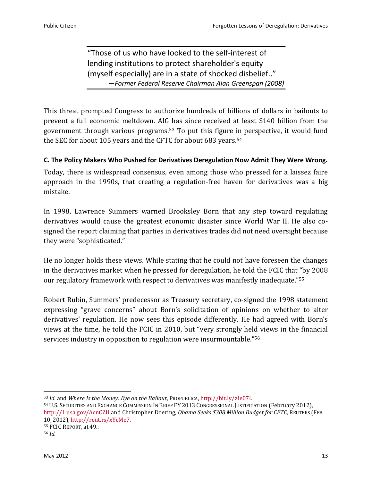"Those of us who have looked to the self-interest of lending institutions to protect shareholder's equity (myself especially) are in a state of shocked disbelief.." —*Former Federal Reserve Chairman Alan Greenspan (2008)*

This threat prompted Congress to authorize hundreds of billions of dollars in bailouts to prevent a full economic meltdown. AIG has since received at least \$140 billion from the government through various programs.<sup>53</sup> To put this figure in perspective, it would fund the SEC for about 105 years and the CFTC for about 683 years.<sup>54</sup>

#### **C. The Policy Makers Who Pushed for Derivatives Deregulation Now Admit They Were Wrong.**

Today, there is widespread consensus, even among those who pressed for a laissez faire approach in the 1990s, that creating a regulation-free haven for derivatives was a big mistake.

In 1998, Lawrence Summers warned Brooksley Born that any step toward regulating derivatives would cause the greatest economic disaster since World War II. He also cosigned the report claiming that parties in derivatives trades did not need oversight because they were "sophisticated."

He no longer holds these views. While stating that he could not have foreseen the changes in the derivatives market when he pressed for deregulation, he told the FCIC that "by 2008 our regulatory framework with respect to derivatives was manifestly inadequate."<sup>55</sup>

Robert Rubin, Summers' predecessor as Treasury secretary, co-signed the 1998 statement expressing "grave concerns" about Born's solicitation of opinions on whether to alter derivatives' regulation. He now sees this episode differently. He had agreed with Born's views at the time, he told the FCIC in 2010, but "very strongly held views in the financial services industry in opposition to regulation were insurmountable."<sup>56</sup>

<sup>54</sup> U.S. SECURITIES AND EXCHANGE COMMISSION IN BRIEF FY 2013 CONGRESSIONAL JUSTIFICATION (February 2012), <http://1.usa.gov/AcnCZH> and Christopher Doering, *Obama Seeks \$308 Million Budget for CFTC*, REUTERS (FEB. 10, 2012), [http://reut.rs/xYcMe7.](http://reut.rs/xYcMe7) <sup>55</sup> FCIC REPORT, at 49..

l

<sup>53</sup> *Id.* and *Where Is the Money: Eye on the Bailout*, PROPUBLICA, [http://bit.ly/zIe07l.](http://bit.ly/zIe07l)

<sup>56</sup> *Id.*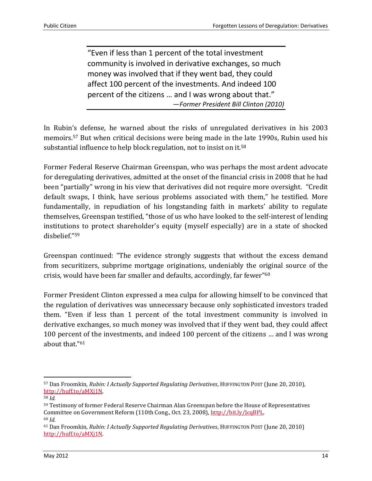"Even if less than 1 percent of the total investment community is involved in derivative exchanges, so much money was involved that if they went bad, they could affect 100 percent of the investments. And indeed 100 percent of the citizens … and I was wrong about that." —*Former President Bill Clinton (2010)*

In Rubin's defense, he warned about the risks of unregulated derivatives in his 2003 memoirs. <sup>57</sup> But when critical decisions were being made in the late 1990s, Rubin used his substantial influence to help block regulation, not to insist on it.<sup>58</sup>

Former Federal Reserve Chairman Greenspan, who was perhaps the most ardent advocate for deregulating derivatives, admitted at the onset of the financial crisis in 2008 that he had been "partially" wrong in his view that derivatives did not require more oversight. "Credit default swaps, I think, have serious problems associated with them," he testified. More fundamentally, in repudiation of his longstanding faith in markets' ability to regulate themselves, Greenspan testified, "those of us who have looked to the self-interest of lending institutions to protect shareholder's equity (myself especially) are in a state of shocked disbelief."<sup>59</sup>

Greenspan continued: "The evidence strongly suggests that without the excess demand from securitizers, subprime mortgage originations, undeniably the original source of the crisis, would have been far smaller and defaults, accordingly, far fewer" 60

Former President Clinton expressed a mea culpa for allowing himself to be convinced that the regulation of derivatives was unnecessary because only sophisticated investors traded them. "Even if less than 1 percent of the total investment community is involved in derivative exchanges, so much money was involved that if they went bad, they could affect 100 percent of the investments, and indeed 100 percent of the citizens … and I was wrong about that."<sup>61</sup>

<sup>57</sup> Dan Froomkin*, Rubin: I Actually Supported Regulating Derivatives*, HUFFINGTON POST (June 20, 2010), [http://huff.to/aMXj1N.](http://huff.to/aMXj1N)

<sup>58</sup> *Id.*

<sup>59</sup> Testimony of former Federal Reserve Chairman Alan Greenspan before the House of Representatives Committee on Government Reform (110th Cong., Oct. 23, 2008), [http://bit.ly/JcqBPL.](http://bit.ly/JcqBPL) <sup>60</sup> *Id.*

<sup>61</sup> Dan Froomkin*, Rubin: I Actually Supported Regulating Derivatives*, HUFFINGTON POST (June 20, 2010) [http://huff.to/aMXj1N.](http://huff.to/aMXj1N)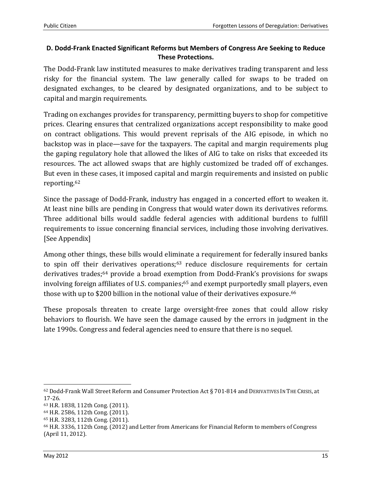#### **D. Dodd-Frank Enacted Significant Reforms but Members of Congress Are Seeking to Reduce These Protections.**

The Dodd-Frank law instituted measures to make derivatives trading transparent and less risky for the financial system. The law generally called for swaps to be traded on designated exchanges, to be cleared by designated organizations, and to be subject to capital and margin requirements.

Trading on exchanges provides for transparency, permitting buyers to shop for competitive prices. Clearing ensures that centralized organizations accept responsibility to make good on contract obligations. This would prevent reprisals of the AIG episode, in which no backstop was in place—save for the taxpayers. The capital and margin requirements plug the gaping regulatory hole that allowed the likes of AIG to take on risks that exceeded its resources. The act allowed swaps that are highly customized be traded off of exchanges. But even in these cases, it imposed capital and margin requirements and insisted on public reporting.<sup>62</sup>

Since the passage of Dodd-Frank, industry has engaged in a concerted effort to weaken it. At least nine bills are pending in Congress that would water down its derivatives reforms. Three additional bills would saddle federal agencies with additional burdens to fulfill requirements to issue concerning financial services, including those involving derivatives. [See Appendix]

Among other things, these bills would eliminate a requirement for federally insured banks to spin off their derivatives operations; $63$  reduce disclosure requirements for certain derivatives trades;<sup>64</sup> provide a broad exemption from Dodd-Frank's provisions for swaps involving foreign affiliates of U.S. companies; <sup>65</sup> and exempt purportedly small players, even those with up to \$200 billion in the notional value of their derivatives exposure.<sup>66</sup>

These proposals threaten to create large oversight-free zones that could allow risky behaviors to flourish. We have seen the damage caused by the errors in judgment in the late 1990s. Congress and federal agencies need to ensure that there is no sequel.

<sup>62</sup> Dodd-Frank Wall Street Reform and Consumer Protection Act § 701-814 and DERIVATIVES IN THE CRISIS, at 17-26.

<sup>63</sup> H.R. 1838, 112th Cong. (2011).

<sup>64</sup> H.R. 2586, 112th Cong. (2011).

<sup>65</sup> H.R. 3283, 112th Cong. (2011).

<sup>66</sup> H.R. 3336, 112th Cong. (2012) and Letter from Americans for Financial Reform to members of Congress (April 11, 2012).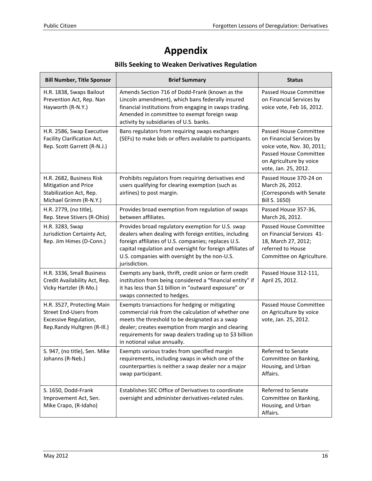# **Appendix**

# **Bills Seeking to Weaken Derivatives Regulation**

| <b>Bill Number, Title Sponsor</b>                                                                                  | <b>Brief Summary</b>                                                                                                                                                                                                                                                                                    | <b>Status</b>                                                                                                                                                 |
|--------------------------------------------------------------------------------------------------------------------|---------------------------------------------------------------------------------------------------------------------------------------------------------------------------------------------------------------------------------------------------------------------------------------------------------|---------------------------------------------------------------------------------------------------------------------------------------------------------------|
| H.R. 1838, Swaps Bailout<br>Prevention Act, Rep. Nan<br>Hayworth (R-N.Y.)                                          | Amends Section 716 of Dodd-Frank (known as the<br>Lincoln amendment), which bans federally insured<br>financial institutions from engaging in swaps trading.<br>Amended in committee to exempt foreign swap<br>activity by subsidiaries of U.S. banks.                                                  | Passed House Committee<br>on Financial Services by<br>voice vote, Feb 16, 2012.                                                                               |
| H.R. 2586, Swap Executive<br>Facility Clarification Act,<br>Rep. Scott Garrett (R-N.J.)                            | Bans regulators from requiring swaps exchanges<br>(SEFs) to make bids or offers available to participants.                                                                                                                                                                                              | Passed House Committee<br>on Financial Services by<br>voice vote, Nov. 30, 2011;<br>Passed House Committee<br>on Agriculture by voice<br>vote, Jan. 25, 2012. |
| H.R. 2682, Business Risk<br>Mitigation and Price<br>Stabilization Act, Rep.<br>Michael Grimm (R-N.Y.)              | Prohibits regulators from requiring derivatives end<br>users qualifying for clearing exemption (such as<br>airlines) to post margin.                                                                                                                                                                    | Passed House 370-24 on<br>March 26, 2012.<br>(Corresponds with Senate<br>Bill S. 1650)                                                                        |
| H.R. 2779, (no title),<br>Rep. Steve Stivers (R-Ohio)                                                              | Provides broad exemption from regulation of swaps<br>between affiliates.                                                                                                                                                                                                                                | Passed House 357-36,<br>March 26, 2012.                                                                                                                       |
| H.R. 3283, Swap<br>Jurisdiction Certainty Act,<br>Rep. Jim Himes (D-Conn.)                                         | Provides broad regulatory exemption for U.S. swap<br>dealers when dealing with foreign entities, including<br>foreign affiliates of U.S. companies; replaces U.S.<br>capital regulation and oversight for foreign affiliates of<br>U.S. companies with oversight by the non-U.S.<br>jurisdiction.       | Passed House Committee<br>on Financial Services 41-<br>18, March 27, 2012;<br>referred to House<br>Committee on Agriculture.                                  |
| H.R. 3336, Small Business<br>Credit Availability Act, Rep.<br>Vicky Hartzler (R-Mo.)                               | Exempts any bank, thrift, credit union or farm credit<br>institution from being considered a "financial entity" if<br>it has less than \$1 billion in "outward exposure" or<br>swaps connected to hedges.                                                                                               | Passed House 312-111,<br>April 25, 2012.                                                                                                                      |
| H.R. 3527, Protecting Main<br><b>Street End-Users from</b><br>Excessive Regulation,<br>Rep.Randy Hultgren (R-III.) | Exempts transactions for hedging or mitigating<br>commercial risk from the calculation of whether one<br>meets the threshold to be designated as a swap<br>dealer; creates exemption from margin and clearing<br>requirements for swap dealers trading up to \$3 billion<br>in notional value annually. | Passed House Committee<br>on Agriculture by voice<br>vote, Jan. 25, 2012.                                                                                     |
| S. 947, (no title), Sen. Mike<br>Johanns (R-Neb.)                                                                  | Exempts various trades from specified margin<br>requirements, including swaps in which one of the<br>counterparties is neither a swap dealer nor a major<br>swap participant.                                                                                                                           | Referred to Senate<br>Committee on Banking,<br>Housing, and Urban<br>Affairs.                                                                                 |
| S. 1650, Dodd-Frank<br>Improvement Act, Sen.<br>Mike Crapo, (R-Idaho)                                              | Establishes SEC Office of Derivatives to coordinate<br>oversight and administer derivatives-related rules.                                                                                                                                                                                              | Referred to Senate<br>Committee on Banking,<br>Housing, and Urban<br>Affairs.                                                                                 |